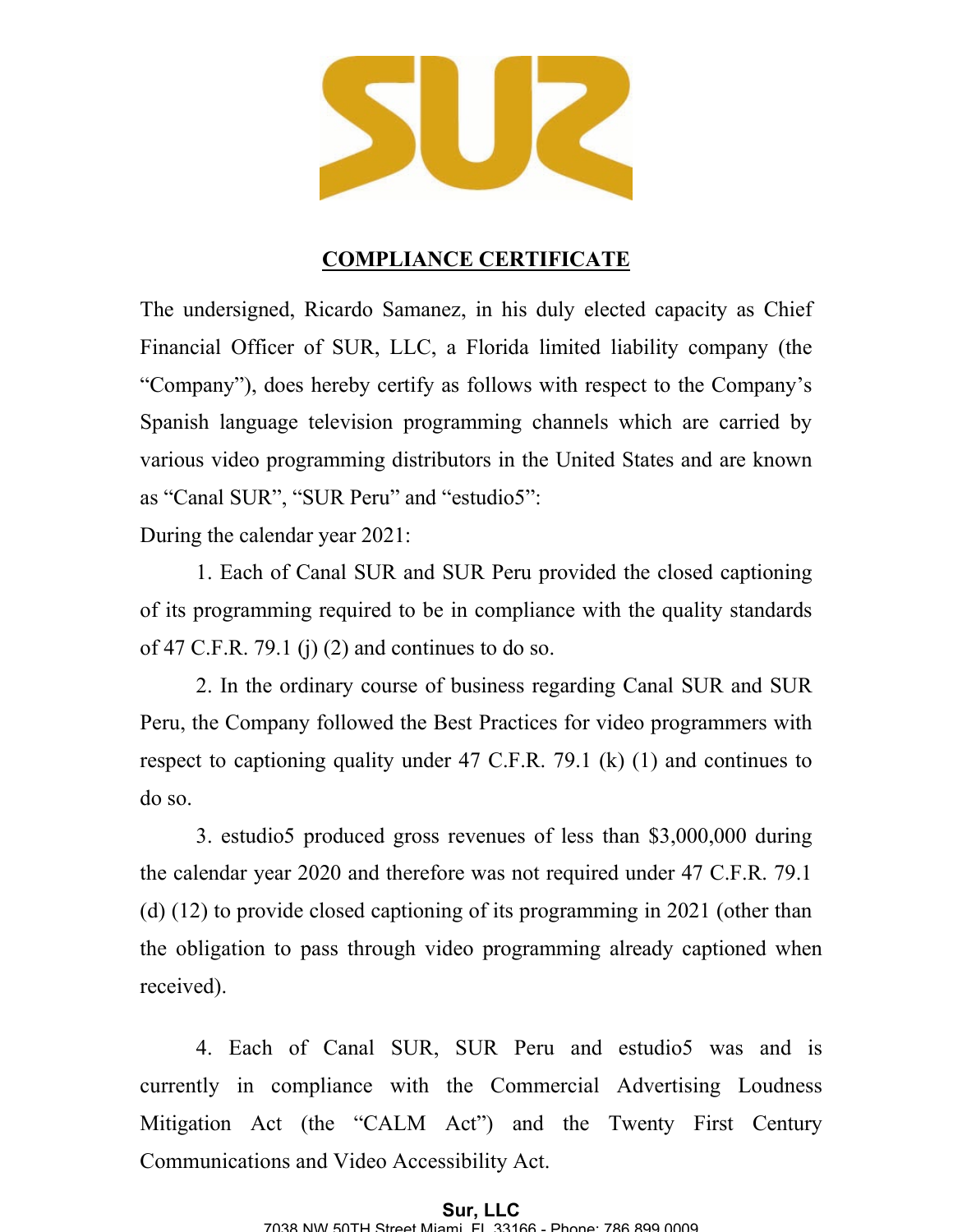

## **COMPLIANCE CERTIFICATE**

The undersigned, Ricardo Samanez, in his duly elected capacity as Chief Financial Officer of SUR, LLC, a Florida limited liability company (the "Company"), does hereby certify as follows with respect to the Company's Spanish language television programming channels which are carried by various video programming distributors in the United States and are known as "Canal SUR", "SUR Peru" and "estudio5":

During the calendar year 2021:

1. Each of Canal SUR and SUR Peru provided the closed captioning of its programming required to be in compliance with the quality standards of 47 C.F.R. 79.1 (j) (2) and continues to do so.

2. In the ordinary course of business regarding Canal SUR and SUR Peru, the Company followed the Best Practices for video programmers with respect to captioning quality under 47 C.F.R. 79.1 (k) (1) and continues to do so.

3. estudio5 produced gross revenues of less than \$3,000,000 during the calendar year 2020 and therefore was not required under 47 C.F.R. 79.1 (d) (12) to provide closed captioning of its programming in 2021 (other than the obligation to pass through video programming already captioned when received).

4. Each of Canal SUR, SUR Peru and estudio5 was and is currently in compliance with the Commercial Advertising Loudness Mitigation Act (the "CALM Act") and the Twenty First Century Communications and Video Accessibility Act.